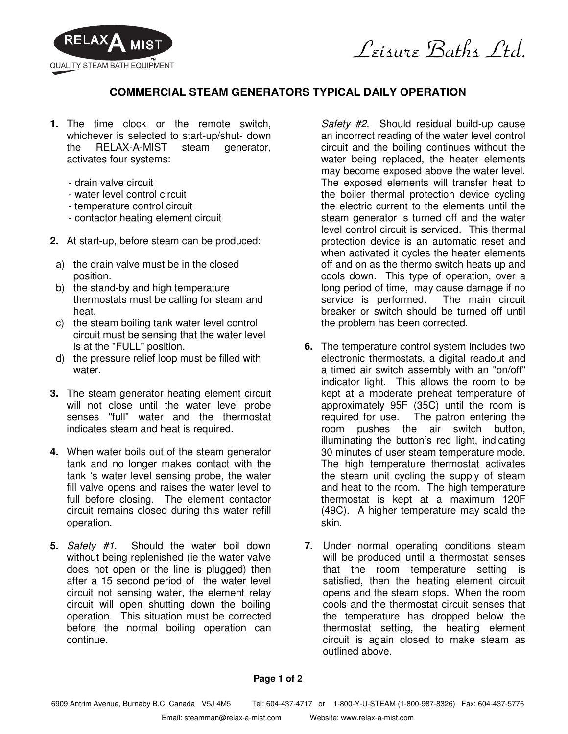

Leisure Baths Ltd.

## **COMMERCIAL STEAM GENERATORS TYPICAL DAILY OPERATION**

- **1.** The time clock or the remote switch, whichever is selected to start-up/shut- down the RELAX-A-MIST steam generator, activates four systems:
	- drain valve circuit
	- water level control circuit
	- temperature control circuit
	- contactor heating element circuit
- **2.** At start-up, before steam can be produced:
- a) the drain valve must be in the closed position.
- b) the stand-by and high temperature thermostats must be calling for steam and heat.
- c) the steam boiling tank water level control circuit must be sensing that the water level is at the "FULL" position.
- d) the pressure relief loop must be filled with water.
- **3.** The steam generator heating element circuit will not close until the water level probe senses "full" water and the thermostat indicates steam and heat is required.
- **4.** When water boils out of the steam generator tank and no longer makes contact with the tank 's water level sensing probe, the water fill valve opens and raises the water level to full before closing. The element contactor circuit remains closed during this water refill operation.
- **5.** Safety #1. Should the water boil down without being replenished (ie the water valve does not open or the line is plugged) then after a 15 second period of the water level circuit not sensing water, the element relay circuit will open shutting down the boiling operation. This situation must be corrected before the normal boiling operation can continue.

Safety #2. Should residual build-up cause an incorrect reading of the water level control circuit and the boiling continues without the water being replaced, the heater elements may become exposed above the water level. The exposed elements will transfer heat to the boiler thermal protection device cycling the electric current to the elements until the steam generator is turned off and the water level control circuit is serviced. This thermal protection device is an automatic reset and when activated it cycles the heater elements off and on as the thermo switch heats up and cools down. This type of operation, over a long period of time, may cause damage if no service is performed. The main circuit breaker or switch should be turned off until the problem has been corrected.

- **6.** The temperature control system includes two electronic thermostats, a digital readout and a timed air switch assembly with an "on/off" indicator light. This allows the room to be kept at a moderate preheat temperature of approximately 95F (35C) until the room is required for use. The patron entering the room pushes the air switch button, illuminating the button's red light, indicating 30 minutes of user steam temperature mode. The high temperature thermostat activates the steam unit cycling the supply of steam and heat to the room. The high temperature thermostat is kept at a maximum 120F (49C). A higher temperature may scald the skin.
- **7.** Under normal operating conditions steam will be produced until a thermostat senses that the room temperature setting is satisfied, then the heating element circuit opens and the steam stops. When the room cools and the thermostat circuit senses that the temperature has dropped below the thermostat setting, the heating element circuit is again closed to make steam as outlined above.